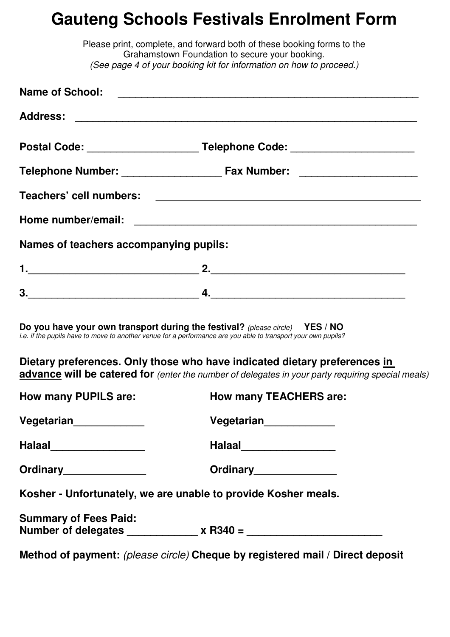## **Gauteng Schools Festivals Enrolment Form**

|                                        | Please print, complete, and forward both of these booking forms to the<br>Grahamstown Foundation to secure your booking.                                                                      |  |  |  |  |  |  |
|----------------------------------------|-----------------------------------------------------------------------------------------------------------------------------------------------------------------------------------------------|--|--|--|--|--|--|
|                                        | (See page 4 of your booking kit for information on how to proceed.)                                                                                                                           |  |  |  |  |  |  |
|                                        |                                                                                                                                                                                               |  |  |  |  |  |  |
|                                        |                                                                                                                                                                                               |  |  |  |  |  |  |
|                                        |                                                                                                                                                                                               |  |  |  |  |  |  |
|                                        |                                                                                                                                                                                               |  |  |  |  |  |  |
|                                        |                                                                                                                                                                                               |  |  |  |  |  |  |
|                                        |                                                                                                                                                                                               |  |  |  |  |  |  |
| Names of teachers accompanying pupils: |                                                                                                                                                                                               |  |  |  |  |  |  |
|                                        |                                                                                                                                                                                               |  |  |  |  |  |  |
|                                        |                                                                                                                                                                                               |  |  |  |  |  |  |
|                                        | Do you have your own transport during the festival? (please circle) YES / NO<br>i.e. if the pupils have to move to another venue for a performance are you able to transport your own pupils? |  |  |  |  |  |  |
|                                        | Dietary preferences. Only those who have indicated dietary preferences in<br>advance will be catered for (enter the number of delegates in your party requiring special meals)                |  |  |  |  |  |  |
| <b>How many PUPILS are:</b>            | <b>How many TEACHERS are:</b>                                                                                                                                                                 |  |  |  |  |  |  |
| Vegetarian <sub>_____________</sub>    | Vegetarian____________                                                                                                                                                                        |  |  |  |  |  |  |
| Halaal___________________              | Halaal____________________                                                                                                                                                                    |  |  |  |  |  |  |
| Ordinary________________               | Ordinary_______________                                                                                                                                                                       |  |  |  |  |  |  |
|                                        | Kosher - Unfortunately, we are unable to provide Kosher meals.                                                                                                                                |  |  |  |  |  |  |
| <b>Summary of Fees Paid:</b>           | Number of delegates _____________ x R340 = __________________________                                                                                                                         |  |  |  |  |  |  |
|                                        | Mathed of normeonts (along a single) Channel buyer sistematic positive at donogite                                                                                                            |  |  |  |  |  |  |

**Method of payment:** (please circle) **Cheque by registered mail / Direct deposit**